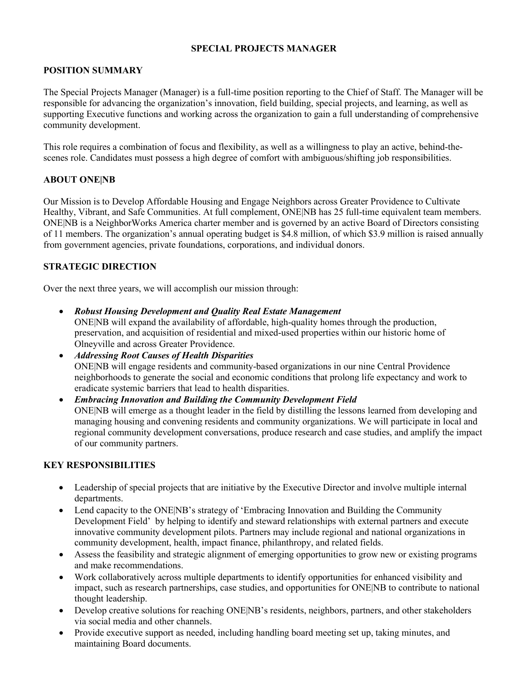#### **SPECIAL PROJECTS MANAGER**

## **POSITION SUMMARY**

The Special Projects Manager (Manager) is a full-time position reporting to the Chief of Staff. The Manager will be responsible for advancing the organization's innovation, field building, special projects, and learning, as well as supporting Executive functions and working across the organization to gain a full understanding of comprehensive community development.

This role requires a combination of focus and flexibility, as well as a willingness to play an active, behind-thescenes role. Candidates must possess a high degree of comfort with ambiguous/shifting job responsibilities.

#### **ABOUT ONE|NB**

Our Mission is to Develop Affordable Housing and Engage Neighbors across Greater Providence to Cultivate Healthy, Vibrant, and Safe Communities. At full complement, ONE|NB has 25 full-time equivalent team members. ONE|NB is a NeighborWorks America charter member and is governed by an active Board of Directors consisting of 11 members. The organization's annual operating budget is \$4.8 million, of which \$3.9 million is raised annually from government agencies, private foundations, corporations, and individual donors.

## **STRATEGIC DIRECTION**

Over the next three years, we will accomplish our mission through:

- *Robust Housing Development and Quality Real Estate Management* ONE|NB will expand the availability of affordable, high-quality homes through the production, preservation, and acquisition of residential and mixed-used properties within our historic home of Olneyville and across Greater Providence.
- *Addressing Root Causes of Health Disparities* ONE|NB will engage residents and community-based organizations in our nine Central Providence neighborhoods to generate the social and economic conditions that prolong life expectancy and work to eradicate systemic barriers that lead to health disparities.
- *Embracing Innovation and Building the Community Development Field* ONE|NB will emerge as a thought leader in the field by distilling the lessons learned from developing and managing housing and convening residents and community organizations. We will participate in local and regional community development conversations, produce research and case studies, and amplify the impact of our community partners.

## **KEY RESPONSIBILITIES**

- Leadership of special projects that are initiative by the Executive Director and involve multiple internal departments.
- Lend capacity to the ONE|NB's strategy of 'Embracing Innovation and Building the Community Development Field' by helping to identify and steward relationships with external partners and execute innovative community development pilots. Partners may include regional and national organizations in community development, health, impact finance, philanthropy, and related fields.
- Assess the feasibility and strategic alignment of emerging opportunities to grow new or existing programs and make recommendations.
- Work collaboratively across multiple departments to identify opportunities for enhanced visibility and impact, such as research partnerships, case studies, and opportunities for ONE|NB to contribute to national thought leadership.
- Develop creative solutions for reaching ONE|NB's residents, neighbors, partners, and other stakeholders via social media and other channels.
- Provide executive support as needed, including handling board meeting set up, taking minutes, and maintaining Board documents.